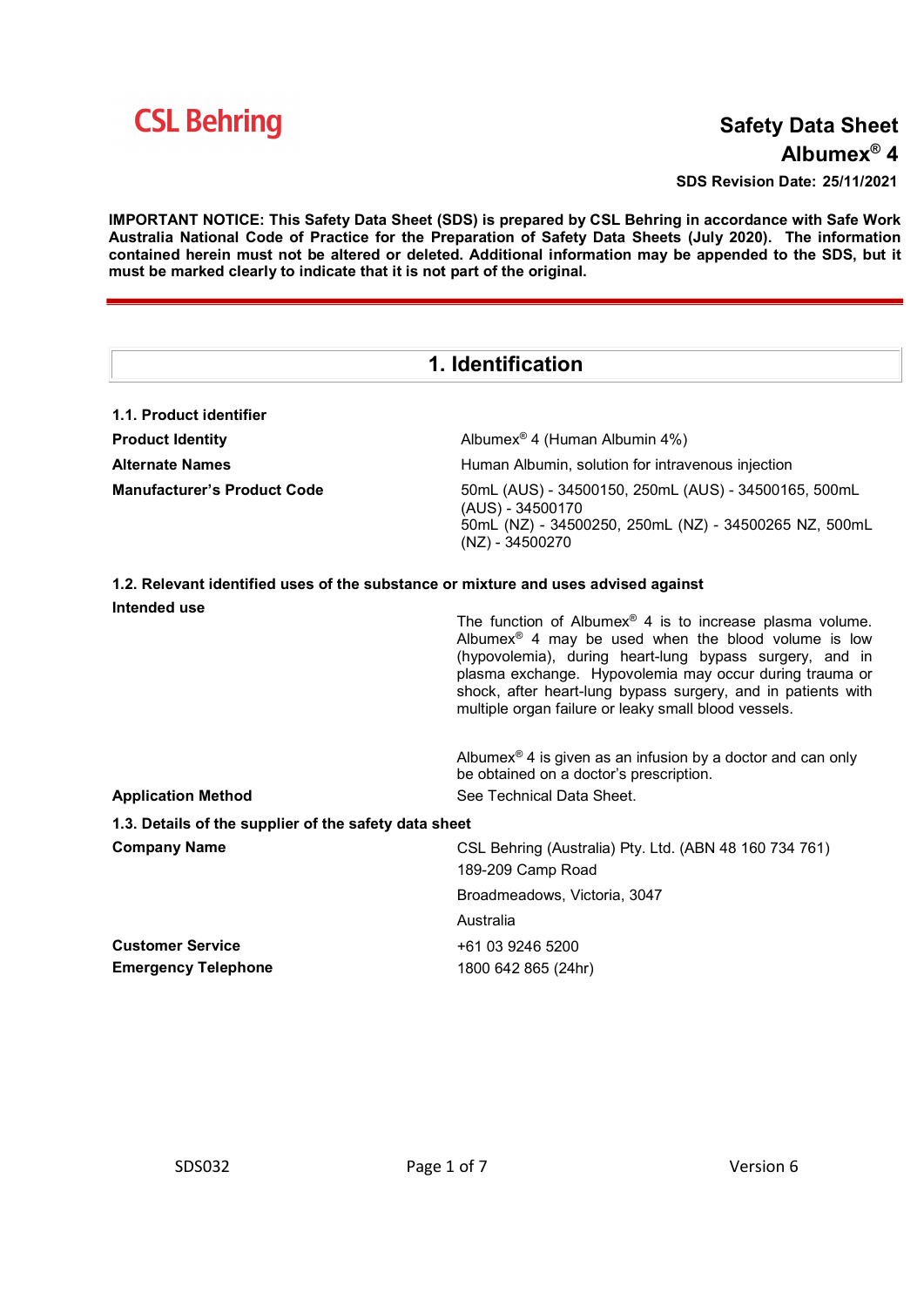

# Safety Data Sheet Albumex® 4

SDS Revision Date: 25/11/2021

IMPORTANT NOTICE: This Safety Data Sheet (SDS) is prepared by CSL Behring in accordance with Safe Work Australia National Code of Practice for the Preparation of Safety Data Sheets (July 2020). The information contained herein must not be altered or deleted. Additional information may be appended to the SDS, but it must be marked clearly to indicate that it is not part of the original.

| 1. Identification                                     |                                                                                                                                                                                                                                                                                                                                                                                       |  |
|-------------------------------------------------------|---------------------------------------------------------------------------------------------------------------------------------------------------------------------------------------------------------------------------------------------------------------------------------------------------------------------------------------------------------------------------------------|--|
| 1.1. Product identifier                               |                                                                                                                                                                                                                                                                                                                                                                                       |  |
| <b>Product Identity</b>                               | Albumex <sup>®</sup> 4 (Human Albumin 4%)                                                                                                                                                                                                                                                                                                                                             |  |
| <b>Alternate Names</b>                                | Human Albumin, solution for intravenous injection                                                                                                                                                                                                                                                                                                                                     |  |
| <b>Manufacturer's Product Code</b>                    | 50mL (AUS) - 34500150, 250mL (AUS) - 34500165, 500mL<br>(AUS) - 34500170<br>50mL (NZ) - 34500250, 250mL (NZ) - 34500265 NZ, 500mL                                                                                                                                                                                                                                                     |  |
|                                                       | (NZ) - 34500270                                                                                                                                                                                                                                                                                                                                                                       |  |
|                                                       | 1.2. Relevant identified uses of the substance or mixture and uses advised against                                                                                                                                                                                                                                                                                                    |  |
| Intended use                                          | The function of Albumex <sup>®</sup> 4 is to increase plasma volume.<br>Albumex <sup>®</sup> 4 may be used when the blood volume is low<br>(hypovolemia), during heart-lung bypass surgery, and in<br>plasma exchange. Hypovolemia may occur during trauma or<br>shock, after heart-lung bypass surgery, and in patients with<br>multiple organ failure or leaky small blood vessels. |  |
| <b>Application Method</b>                             | Albumex <sup>®</sup> 4 is given as an infusion by a doctor and can only<br>be obtained on a doctor's prescription.<br>See Technical Data Sheet.                                                                                                                                                                                                                                       |  |
| 1.3. Details of the supplier of the safety data sheet |                                                                                                                                                                                                                                                                                                                                                                                       |  |
| <b>Company Name</b>                                   | CSL Behring (Australia) Pty. Ltd. (ABN 48 160 734 761)<br>189-209 Camp Road                                                                                                                                                                                                                                                                                                           |  |
|                                                       | Broadmeadows, Victoria, 3047                                                                                                                                                                                                                                                                                                                                                          |  |
|                                                       | Australia                                                                                                                                                                                                                                                                                                                                                                             |  |
| <b>Customer Service</b>                               | +61 03 9246 5200                                                                                                                                                                                                                                                                                                                                                                      |  |
| <b>Emergency Telephone</b>                            | 1800 642 865 (24hr)                                                                                                                                                                                                                                                                                                                                                                   |  |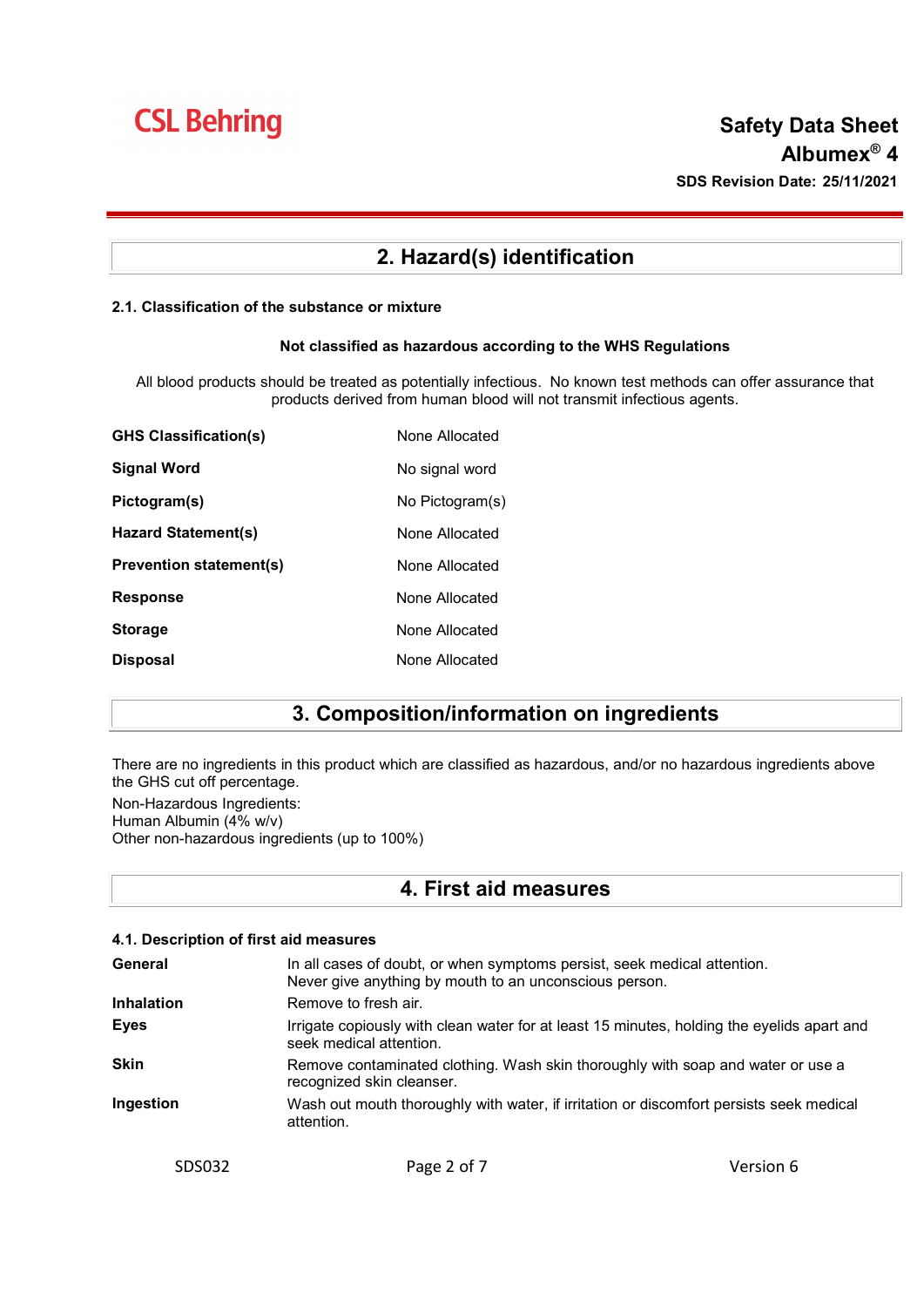### 2. Hazard(s) identification

### 2.1. Classification of the substance or mixture

### Not classified as hazardous according to the WHS Regulations

All blood products should be treated as potentially infectious. No known test methods can offer assurance that products derived from human blood will not transmit infectious agents.

| <b>GHS Classification(s)</b>   | None Allocated  |
|--------------------------------|-----------------|
| Signal Word                    | No signal word  |
| Pictogram(s)                   | No Pictogram(s) |
| Hazard Statement(s)            | None Allocated  |
| <b>Prevention statement(s)</b> | None Allocated  |
| <b>Response</b>                | None Allocated  |
| <b>Storage</b>                 | None Allocated  |
| <b>Disposal</b>                | None Allocated  |

## 3. Composition/information on ingredients

There are no ingredients in this product which are classified as hazardous, and/or no hazardous ingredients above the GHS cut off percentage.

Non-Hazardous Ingredients: Human Albumin (4% w/v) Other non-hazardous ingredients (up to 100%)

### 4. First aid measures

| 4.1. Description of first aid measures |                                                                                                                                    |           |
|----------------------------------------|------------------------------------------------------------------------------------------------------------------------------------|-----------|
| General                                | In all cases of doubt, or when symptoms persist, seek medical attention.<br>Never give anything by mouth to an unconscious person. |           |
| <b>Inhalation</b>                      | Remove to fresh air.                                                                                                               |           |
| <b>Eyes</b>                            | Irrigate copiously with clean water for at least 15 minutes, holding the eyelids apart and<br>seek medical attention.              |           |
| <b>Skin</b>                            | Remove contaminated clothing. Wash skin thoroughly with soap and water or use a<br>recognized skin cleanser.                       |           |
| Ingestion                              | Wash out mouth thoroughly with water, if irritation or discomfort persists seek medical<br>attention.                              |           |
| SDS032                                 | Page 2 of 7                                                                                                                        | Version 6 |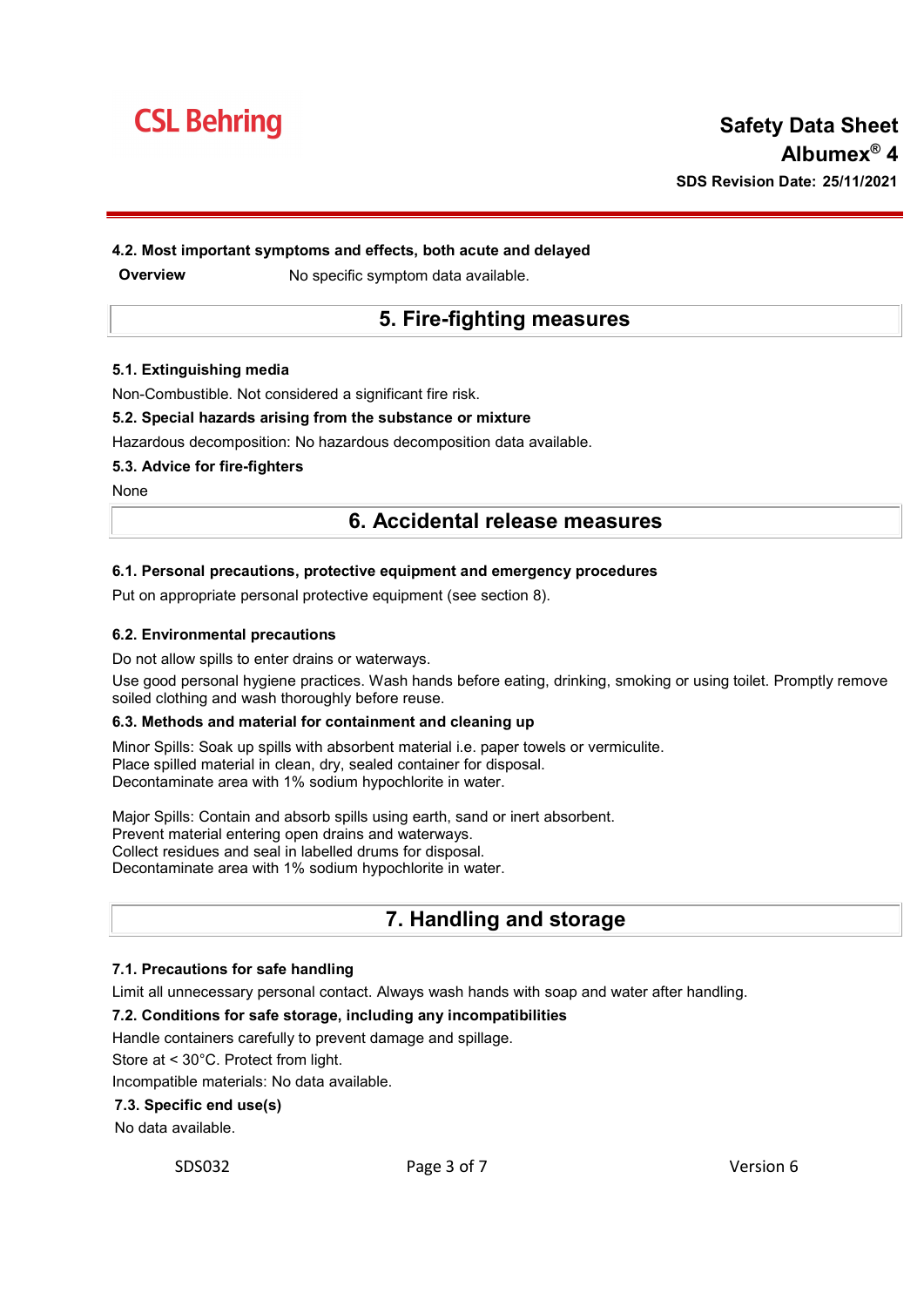

### 4.2. Most important symptoms and effects, both acute and delayed

**Overview Mo specific symptom data available.** 

### 5. Fire-fighting measures

#### 5.1. Extinguishing media

Non-Combustible. Not considered a significant fire risk.

#### 5.2. Special hazards arising from the substance or mixture

Hazardous decomposition: No hazardous decomposition data available.

#### 5.3. Advice for fire-fighters

**None** 

### 6. Accidental release measures

#### 6.1. Personal precautions, protective equipment and emergency procedures

Put on appropriate personal protective equipment (see section 8).

#### 6.2. Environmental precautions

Do not allow spills to enter drains or waterways.

Use good personal hygiene practices. Wash hands before eating, drinking, smoking or using toilet. Promptly remove soiled clothing and wash thoroughly before reuse.

#### 6.3. Methods and material for containment and cleaning up

Minor Spills: Soak up spills with absorbent material i.e. paper towels or vermiculite. Place spilled material in clean, dry, sealed container for disposal. Decontaminate area with 1% sodium hypochlorite in water.

Major Spills: Contain and absorb spills using earth, sand or inert absorbent. Prevent material entering open drains and waterways. Collect residues and seal in labelled drums for disposal. Decontaminate area with 1% sodium hypochlorite in water.

### 7. Handling and storage

#### 7.1. Precautions for safe handling

Limit all unnecessary personal contact. Always wash hands with soap and water after handling.

#### 7.2. Conditions for safe storage, including any incompatibilities

Handle containers carefully to prevent damage and spillage.

Store at < 30°C. Protect from light.

Incompatible materials: No data available.

#### 7.3. Specific end use(s)

No data available.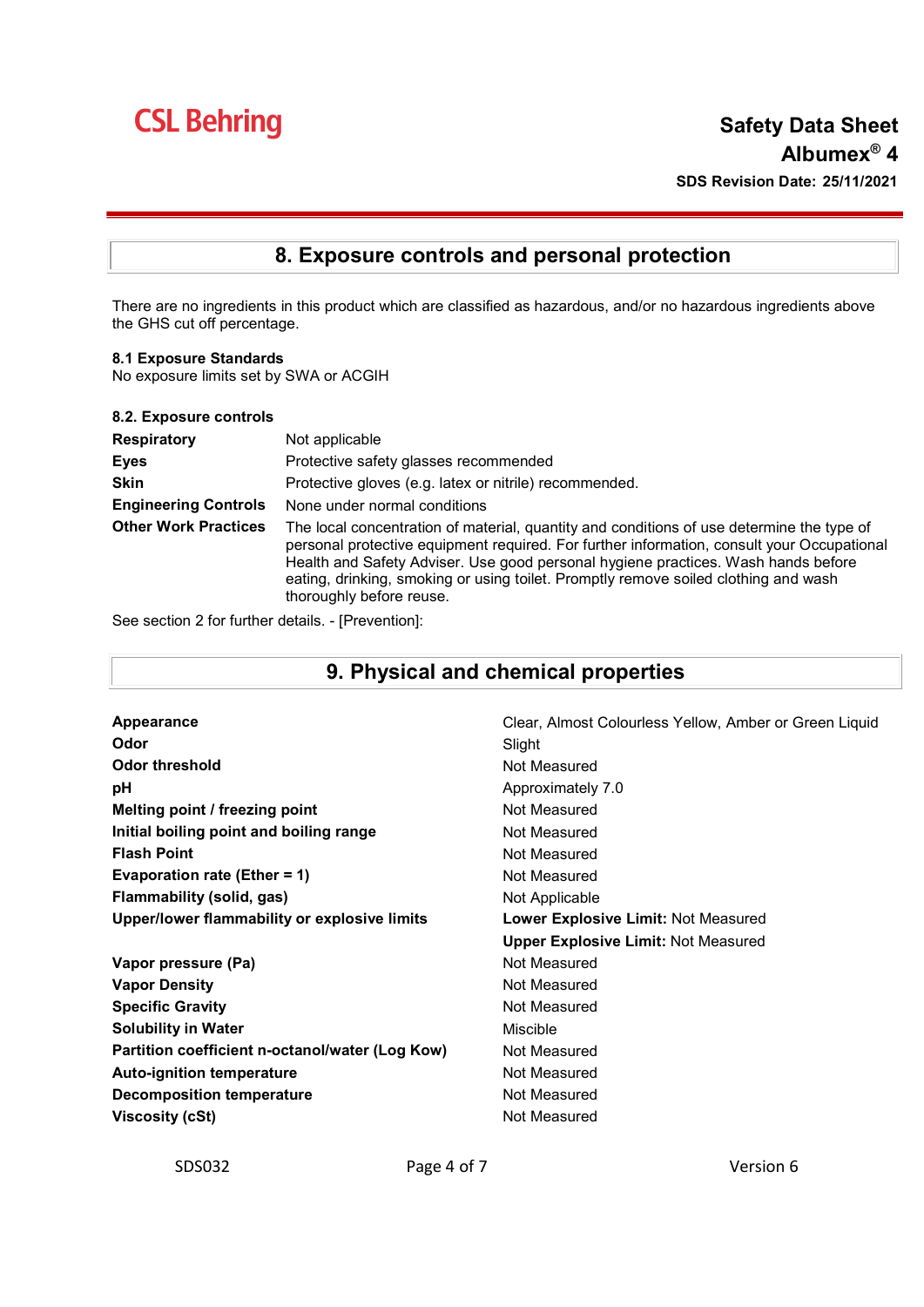# **CSL Behring**

# 8. Exposure controls and personal protection

There are no ingredients in this product which are classified as hazardous, and/or no hazardous ingredients above the GHS cut off percentage.

8.1 Exposure Standards

No exposure limits set by SWA or ACGIH

| 8.2. Exposure controls      |                                                                                                                                                                                                                                                                                                                                                                                                 |
|-----------------------------|-------------------------------------------------------------------------------------------------------------------------------------------------------------------------------------------------------------------------------------------------------------------------------------------------------------------------------------------------------------------------------------------------|
| <b>Respiratory</b>          | Not applicable                                                                                                                                                                                                                                                                                                                                                                                  |
| <b>Eyes</b>                 | Protective safety glasses recommended                                                                                                                                                                                                                                                                                                                                                           |
| <b>Skin</b>                 | Protective gloves (e.g. latex or nitrile) recommended.                                                                                                                                                                                                                                                                                                                                          |
| <b>Engineering Controls</b> | None under normal conditions                                                                                                                                                                                                                                                                                                                                                                    |
| <b>Other Work Practices</b> | The local concentration of material, quantity and conditions of use determine the type of<br>personal protective equipment required. For further information, consult your Occupational<br>Health and Safety Adviser. Use good personal hygiene practices. Wash hands before<br>eating, drinking, smoking or using toilet. Promptly remove soiled clothing and wash<br>thoroughly before reuse. |

See section 2 for further details. - [Prevention]:

# 9. Physical and chemical properties

| Appearance                                      | Clear, Almost Colourless Yellow, Amber or Green Liquid |
|-------------------------------------------------|--------------------------------------------------------|
| Odor                                            | Slight                                                 |
| <b>Odor threshold</b>                           | Not Measured                                           |
| рH                                              | Approximately 7.0                                      |
| Melting point / freezing point                  | Not Measured                                           |
| Initial boiling point and boiling range         | Not Measured                                           |
| <b>Flash Point</b>                              | Not Measured                                           |
| Evaporation rate (Ether = 1)                    | Not Measured                                           |
| Flammability (solid, gas)                       | Not Applicable                                         |
| Upper/lower flammability or explosive limits    | Lower Explosive Limit: Not Measured                    |
|                                                 | <b>Upper Explosive Limit: Not Measured</b>             |
| Vapor pressure (Pa)                             | Not Measured                                           |
| <b>Vapor Density</b>                            | Not Measured                                           |
| <b>Specific Gravity</b>                         | Not Measured                                           |
| <b>Solubility in Water</b>                      | <b>Miscible</b>                                        |
| Partition coefficient n-octanol/water (Log Kow) | Not Measured                                           |
| <b>Auto-ignition temperature</b>                | Not Measured                                           |
| <b>Decomposition temperature</b>                | Not Measured                                           |
| <b>Viscosity (cSt)</b>                          | Not Measured                                           |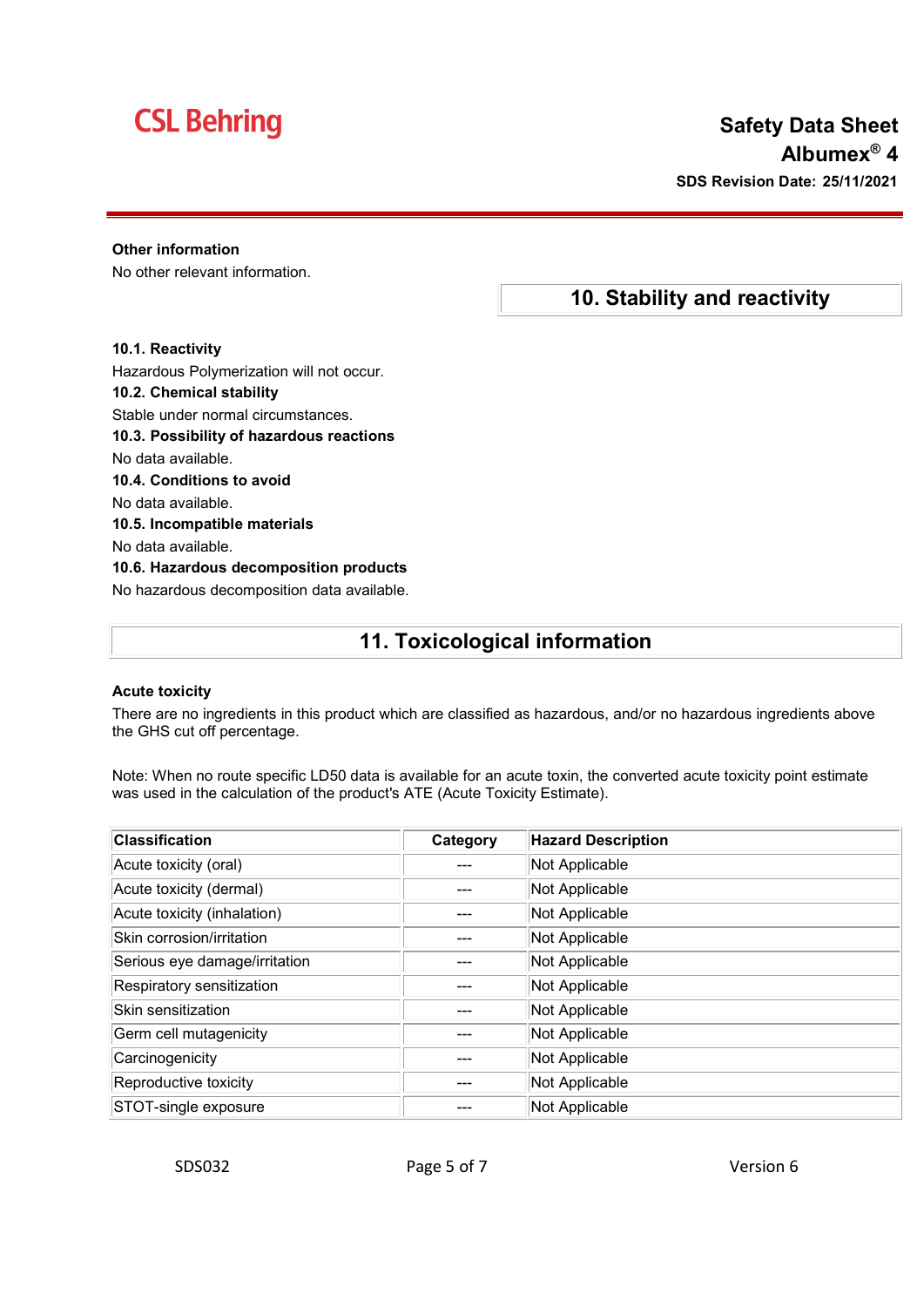# **CSL Behring**

## Safety Data Sheet Albumex® 4 SDS Revision Date: 25/11/2021

10. Stability and reactivity

### Other information

No other relevant information.

### 10.1. Reactivity

Hazardous Polymerization will not occur.

### 10.2. Chemical stability

Stable under normal circumstances.

- 10.3. Possibility of hazardous reactions
- No data available.
- 10.4. Conditions to avoid
- No data available.
- 10.5. Incompatible materials
- No data available.

10.6. Hazardous decomposition products No hazardous decomposition data available.

### 11. Toxicological information

### Acute toxicity

There are no ingredients in this product which are classified as hazardous, and/or no hazardous ingredients above the GHS cut off percentage.

Note: When no route specific LD50 data is available for an acute toxin, the converted acute toxicity point estimate was used in the calculation of the product's ATE (Acute Toxicity Estimate).

| <b>Classification</b>         | Category | <b>Hazard Description</b> |
|-------------------------------|----------|---------------------------|
| Acute toxicity (oral)         |          | Not Applicable            |
| Acute toxicity (dermal)       | ---      | Not Applicable            |
| Acute toxicity (inhalation)   | ---      | Not Applicable            |
| Skin corrosion/irritation     | ---      | Not Applicable            |
| Serious eye damage/irritation |          | Not Applicable            |
| Respiratory sensitization     |          | Not Applicable            |
| Skin sensitization            |          | Not Applicable            |
| Germ cell mutagenicity        |          | Not Applicable            |
| Carcinogenicity               |          | Not Applicable            |
| Reproductive toxicity         |          | Not Applicable            |
| STOT-single exposure          |          | Not Applicable            |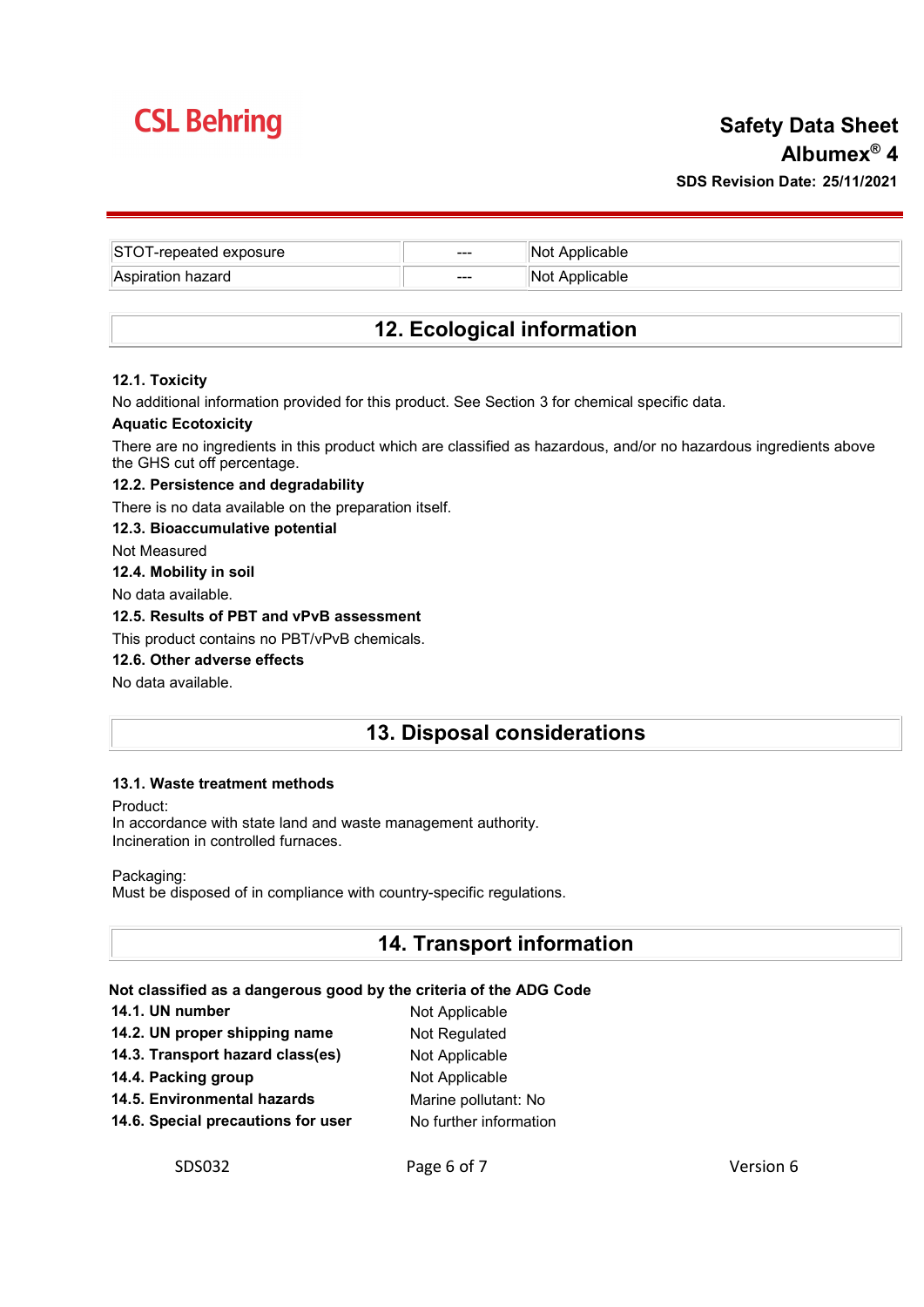# **CSL Behring**

# Safety Data Sheet Albumex® 4 SDS Revision Date: 25/11/2021

| STOT-repeated exposure | $---$ | 'Not Applicable |
|------------------------|-------|-----------------|
| Aspiration hazard      | $--$  | Not Applicable  |

## 12. Ecological information

### 12.1. Toxicity

No additional information provided for this product. See Section 3 for chemical specific data.

### Aquatic Ecotoxicity

There are no ingredients in this product which are classified as hazardous, and/or no hazardous ingredients above the GHS cut off percentage.

### 12.2. Persistence and degradability

There is no data available on the preparation itself.

### 12.3. Bioaccumulative potential

Not Measured

### 12.4. Mobility in soil

No data available.

### 12.5. Results of PBT and vPvB assessment

This product contains no PBT/vPvB chemicals.

### 12.6. Other adverse effects

No data available.

### 13. Disposal considerations

### 13.1. Waste treatment methods

Product:

In accordance with state land and waste management authority. Incineration in controlled furnaces.

Packaging:

Must be disposed of in compliance with country-specific regulations.

### 14. Transport information

### Not classified as a dangerous good by the criteria of the ADG Code

| 14.1. UN number                    | Not Applicable         |
|------------------------------------|------------------------|
| 14.2. UN proper shipping name      | Not Regulated          |
| 14.3. Transport hazard class(es)   | Not Applicable         |
| 14.4. Packing group                | Not Applicable         |
| 14.5. Environmental hazards        | Marine pollutant: No   |
| 14.6. Special precautions for user | No further information |